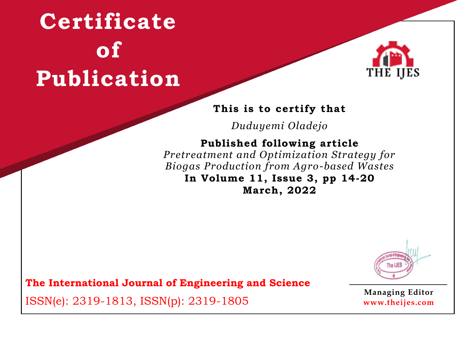

### **This is to certify that**

*Duduyemi Oladejo*

### **Published following article**

*Pretreatment and Optimization Strategy for Biogas Production from Agro-based Wastes* **In Volume 11, Issue 3, pp 14-20 March, 2022**



**The International Journal of Engineering and Science**

ISSN(e): 2319-1813, ISSN(p): 2319-1805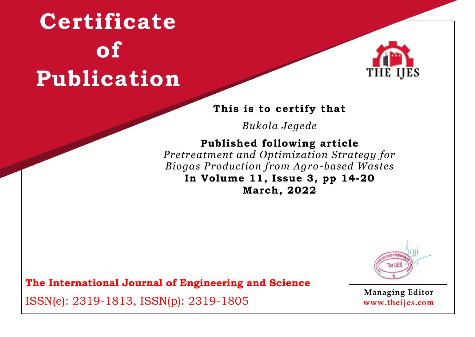

### **This is to certify that**

*Bukola Jegede*

## **Published following article**

*Pretreatment and Optimization Strategy for Biogas Production from Agro-based Wastes* **In Volume 11, Issue 3, pp 14-20 March, 2022**



**The International Journal of Engineering and Science**

ISSN(e): 2319-1813, ISSN(p): 2319-1805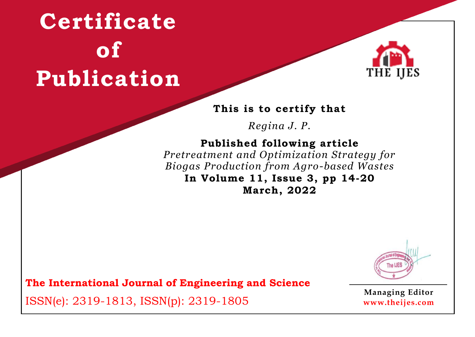

#### **This is to certify that**

*Regina J. P.*

## **Published following article**

*Pretreatment and Optimization Strategy for Biogas Production from Agro-based Wastes* **In Volume 11, Issue 3, pp 14-20 March, 2022**



**The International Journal of Engineering and Science**

ISSN(e): 2319-1813, ISSN(p): 2319-1805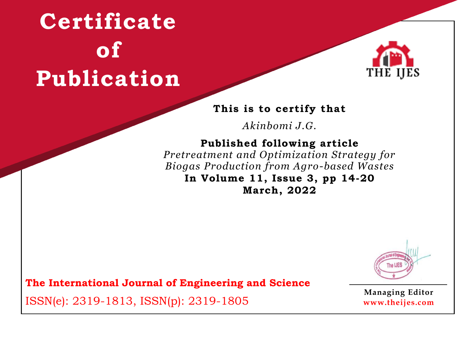

#### **This is to certify that**

*Akinbomi J.G.*

### **Published following article**

*Pretreatment and Optimization Strategy for Biogas Production from Agro-based Wastes* **In Volume 11, Issue 3, pp 14-20 March, 2022**



**The International Journal of Engineering and Science**

ISSN(e): 2319-1813, ISSN(p): 2319-1805